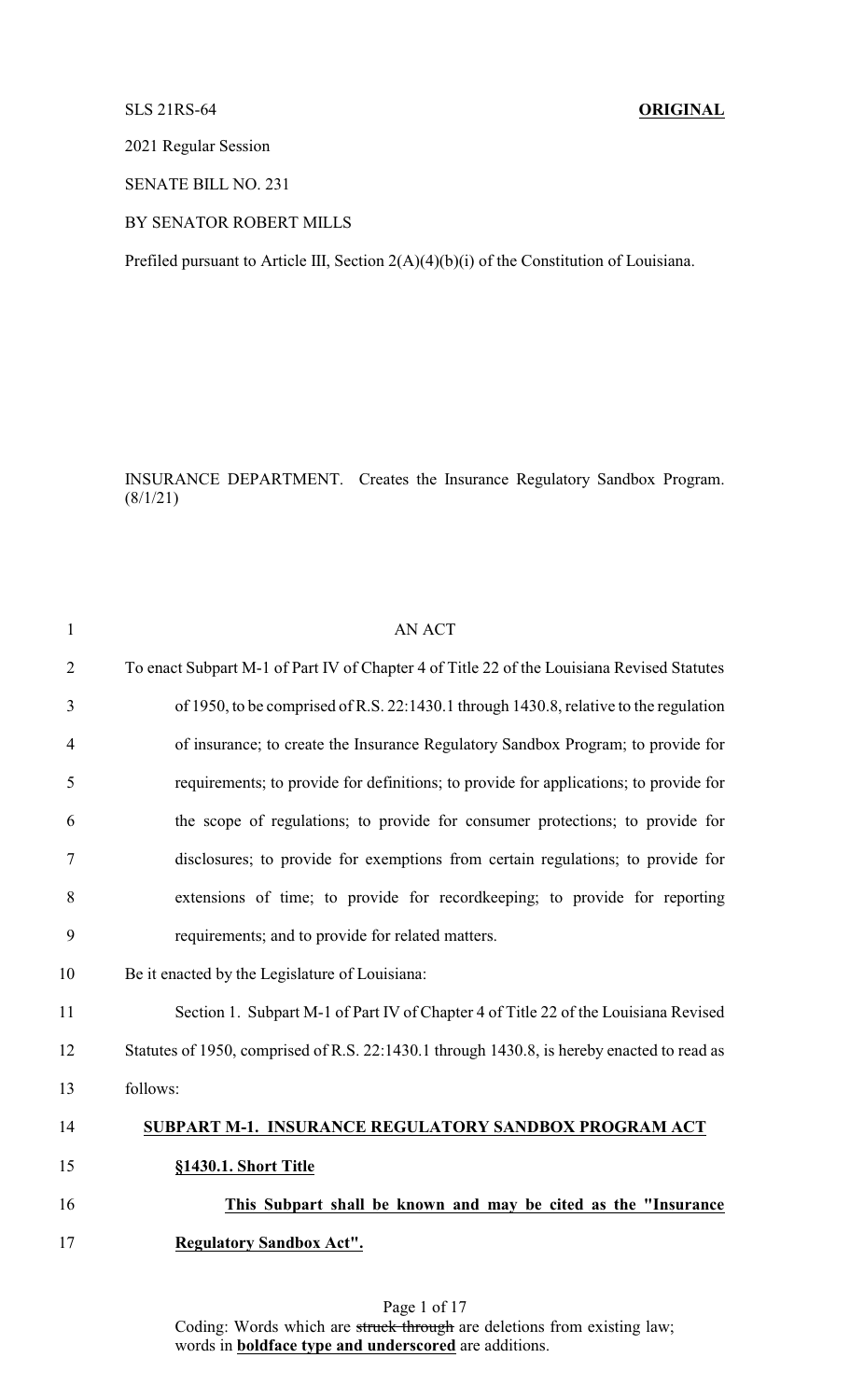# SLS 21RS-64 **ORIGINAL**

2021 Regular Session

SENATE BILL NO. 231

# BY SENATOR ROBERT MILLS

Prefiled pursuant to Article III, Section 2(A)(4)(b)(i) of the Constitution of Louisiana.

INSURANCE DEPARTMENT. Creates the Insurance Regulatory Sandbox Program.  $(8/1/21)$ 

| $\mathbf{1}$   | <b>AN ACT</b>                                                                              |
|----------------|--------------------------------------------------------------------------------------------|
| $\overline{2}$ | To enact Subpart M-1 of Part IV of Chapter 4 of Title 22 of the Louisiana Revised Statutes |
| 3              | of 1950, to be comprised of R.S. 22:1430.1 through 1430.8, relative to the regulation      |
| 4              | of insurance; to create the Insurance Regulatory Sandbox Program; to provide for           |
| 5              | requirements; to provide for definitions; to provide for applications; to provide for      |
| 6              | the scope of regulations; to provide for consumer protections; to provide for              |
| 7              | disclosures; to provide for exemptions from certain regulations; to provide for            |
| 8              | extensions of time; to provide for record keeping; to provide for reporting                |
| 9              | requirements; and to provide for related matters.                                          |
| 10             | Be it enacted by the Legislature of Louisiana:                                             |
| 11             | Section 1. Subpart M-1 of Part IV of Chapter 4 of Title 22 of the Louisiana Revised        |
| 12             | Statutes of 1950, comprised of R.S. 22:1430.1 through 1430.8, is hereby enacted to read as |
| 13             | follows:                                                                                   |
| 14             | SUBPART M-1. INSURANCE REGULATORY SANDBOX PROGRAM ACT                                      |
| 15             | §1430.1. Short Title                                                                       |
| 16             | This Subpart shall be known and may be cited as the "Insurance"                            |
| 17             | <b>Regulatory Sandbox Act".</b>                                                            |
|                |                                                                                            |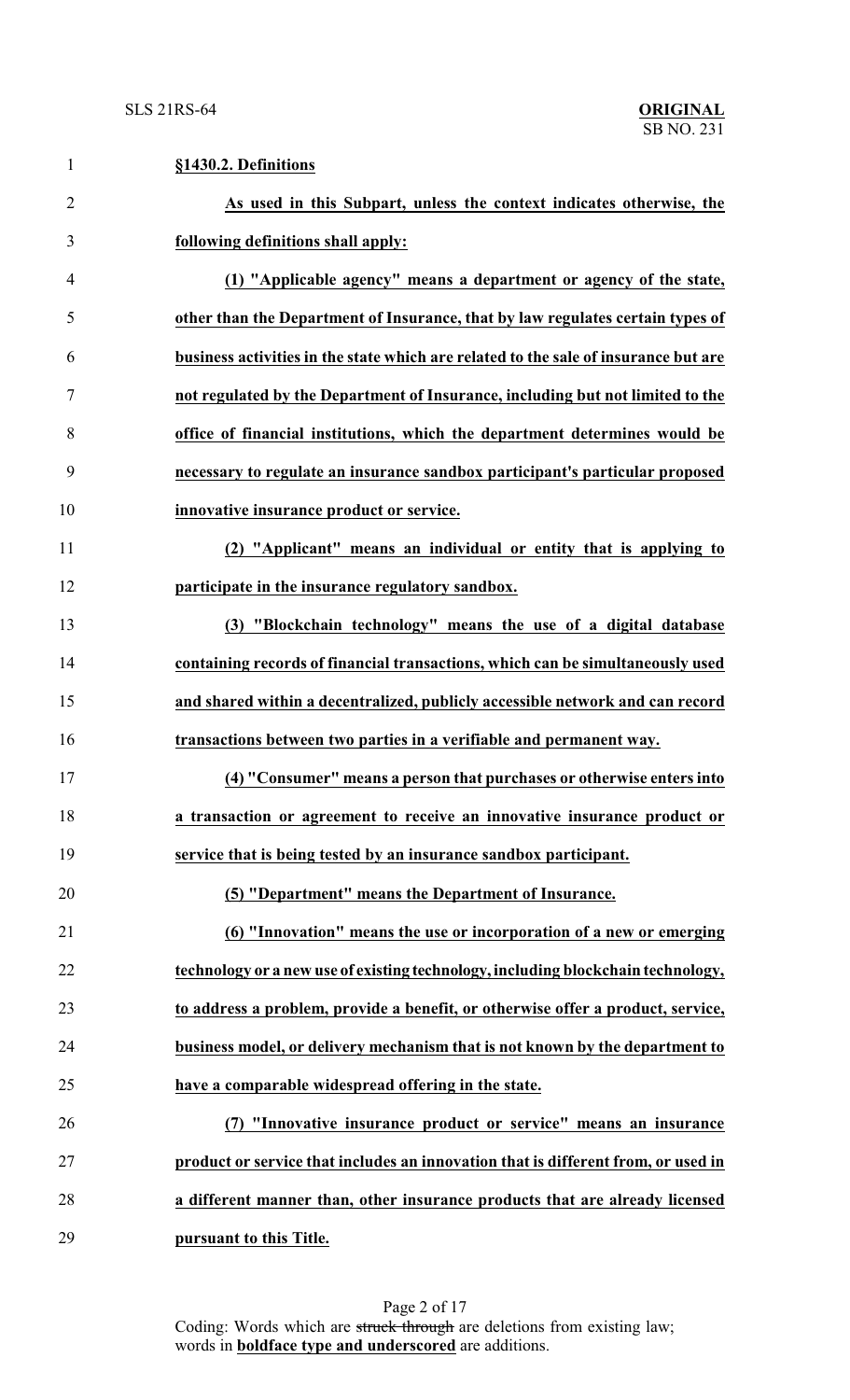| $\mathbf{1}$   | §1430.2. Definitions                                                                |
|----------------|-------------------------------------------------------------------------------------|
| $\overline{2}$ | As used in this Subpart, unless the context indicates otherwise, the                |
| 3              | following definitions shall apply:                                                  |
| 4              | (1) "Applicable agency" means a department or agency of the state,                  |
| 5              | other than the Department of Insurance, that by law regulates certain types of      |
| 6              | business activities in the state which are related to the sale of insurance but are |
| $\tau$         | not regulated by the Department of Insurance, including but not limited to the      |
| 8              | office of financial institutions, which the department determines would be          |
| 9              | necessary to regulate an insurance sandbox participant's particular proposed        |
| 10             | innovative insurance product or service.                                            |
| 11             | (2) "Applicant" means an individual or entity that is applying to                   |
| 12             | participate in the insurance regulatory sandbox.                                    |
| 13             | (3) "Blockchain technology" means the use of a digital database                     |
| 14             | containing records of financial transactions, which can be simultaneously used      |
| 15             | and shared within a decentralized, publicly accessible network and can record       |
| 16             | transactions between two parties in a verifiable and permanent way.                 |
| 17             | (4) "Consumer" means a person that purchases or otherwise enters into               |
| 18             | a transaction or agreement to receive an innovative insurance product or            |
| 19             | service that is being tested by an insurance sandbox participant.                   |
| 20             | (5) "Department" means the Department of Insurance.                                 |
| 21             | (6) "Innovation" means the use or incorporation of a new or emerging                |
| 22             | technology or a new use of existing technology, including blockchain technology,    |
| 23             | to address a problem, provide a benefit, or otherwise offer a product, service,     |
| 24             | business model, or delivery mechanism that is not known by the department to        |
| 25             | have a comparable widespread offering in the state.                                 |
| 26             | (7) "Innovative insurance product or service" means an insurance                    |
| 27             | product or service that includes an innovation that is different from, or used in   |
| 28             | a different manner than, other insurance products that are already licensed         |
| 29             | pursuant to this Title.                                                             |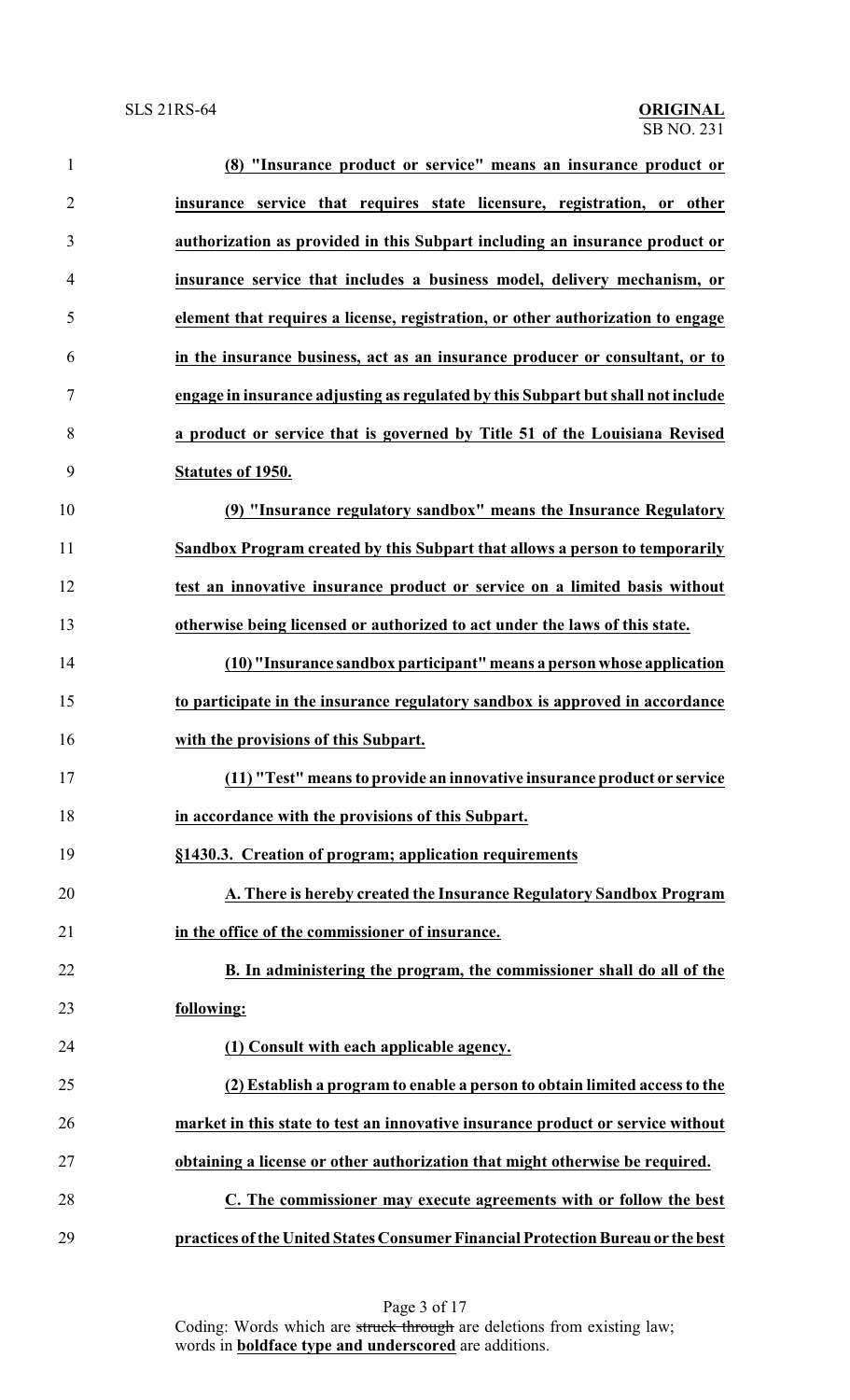| 1              | (8) "Insurance product or service" means an insurance product or                 |
|----------------|----------------------------------------------------------------------------------|
| $\overline{2}$ | insurance service that requires state licensure, registration, or other          |
| 3              | authorization as provided in this Subpart including an insurance product or      |
| $\overline{4}$ | insurance service that includes a business model, delivery mechanism, or         |
| 5              | element that requires a license, registration, or other authorization to engage  |
| 6              | in the insurance business, act as an insurance producer or consultant, or to     |
| $\tau$         | engage in insurance adjusting as regulated by this Subpart but shall not include |
| 8              | a product or service that is governed by Title 51 of the Louisiana Revised       |
| 9              | Statutes of 1950.                                                                |
| 10             | (9) "Insurance regulatory sandbox" means the Insurance Regulatory                |
| 11             | Sandbox Program created by this Subpart that allows a person to temporarily      |
| 12             | test an innovative insurance product or service on a limited basis without       |
| 13             | otherwise being licensed or authorized to act under the laws of this state.      |
| 14             | (10) "Insurance sandbox participant" means a person whose application            |
| 15             | to participate in the insurance regulatory sandbox is approved in accordance     |
| 16             | with the provisions of this Subpart.                                             |
| 17             | (11) "Test" means to provide an innovative insurance product or service          |
| 18             | in accordance with the provisions of this Subpart.                               |
| 19             | §1430.3. Creation of program; application requirements                           |
| 20             | A. There is hereby created the Insurance Regulatory Sandbox Program              |
| 21             | in the office of the commissioner of insurance.                                  |
| 22             | B. In administering the program, the commissioner shall do all of the            |
| 23             | following:                                                                       |
| 24             | (1) Consult with each applicable agency.                                         |
| 25             | (2) Establish a program to enable a person to obtain limited access to the       |
| 26             | market in this state to test an innovative insurance product or service without  |
| 27             | obtaining a license or other authorization that might otherwise be required.     |
| 28             | C. The commissioner may execute agreements with or follow the best               |
| 29             | practices of the United States Consumer Financial Protection Bureau or the best  |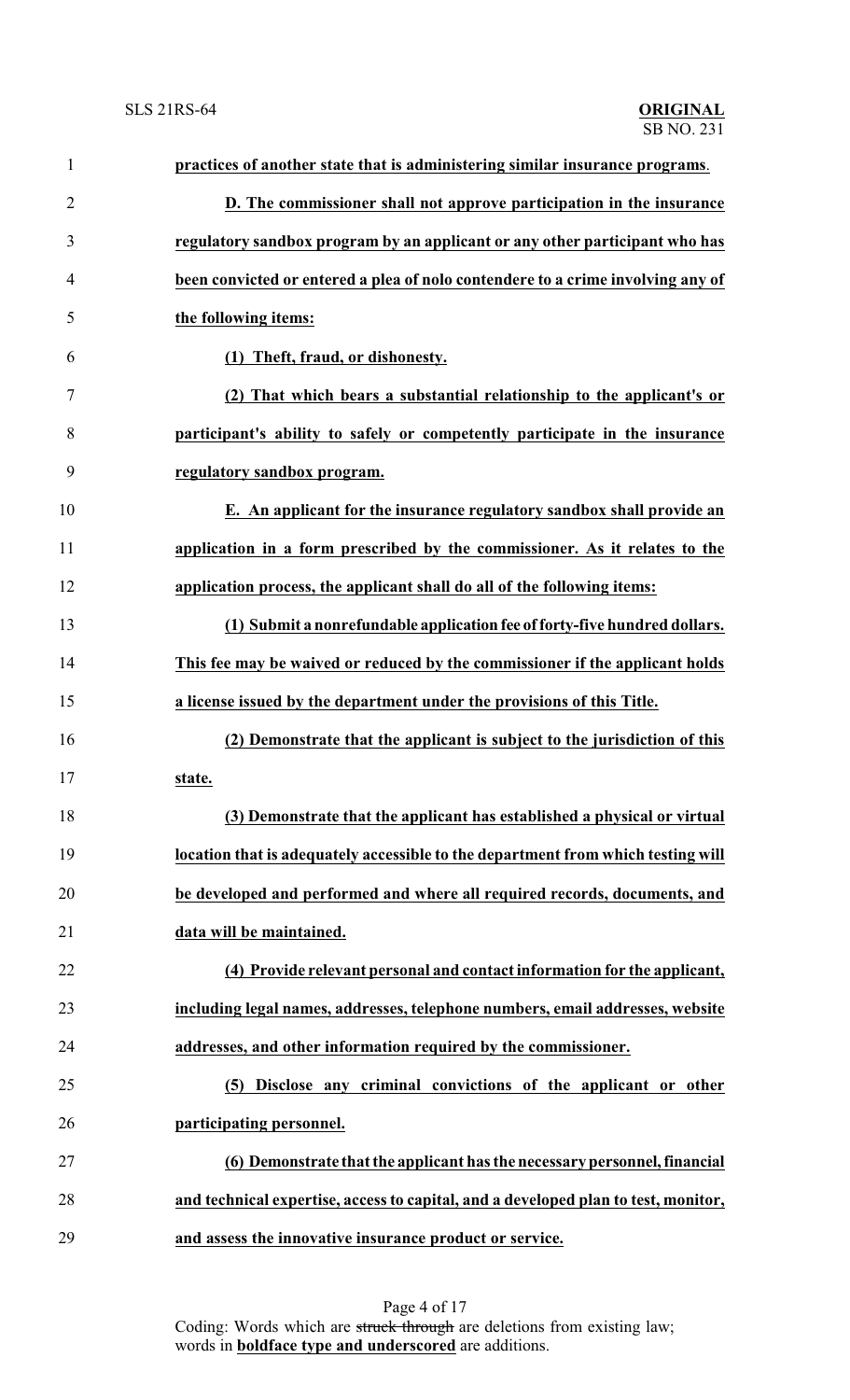| $\mathbf{1}$   | practices of another state that is administering similar insurance programs.       |
|----------------|------------------------------------------------------------------------------------|
| $\overline{2}$ | D. The commissioner shall not approve participation in the insurance               |
| 3              | regulatory sandbox program by an applicant or any other participant who has        |
| 4              | been convicted or entered a plea of nolo contendere to a crime involving any of    |
| 5              | the following items:                                                               |
| 6              | (1) Theft, fraud, or dishonesty.                                                   |
| 7              | (2) That which bears a substantial relationship to the applicant's or              |
| 8              | participant's ability to safely or competently participate in the insurance        |
| 9              | regulatory sandbox program.                                                        |
| 10             | E. An applicant for the insurance regulatory sandbox shall provide an              |
| 11             | application in a form prescribed by the commissioner. As it relates to the         |
| 12             | application process, the applicant shall do all of the following items:            |
| 13             | (1) Submit a nonrefundable application fee of forty-five hundred dollars.          |
| 14             | This fee may be waived or reduced by the commissioner if the applicant holds       |
| 15             | a license issued by the department under the provisions of this Title.             |
| 16             | (2) Demonstrate that the applicant is subject to the jurisdiction of this          |
| 17             | state.                                                                             |
| 18             | (3) Demonstrate that the applicant has established a physical or virtual           |
| 19             | location that is adequately accessible to the department from which testing will   |
| 20             | be developed and performed and where all required records, documents, and          |
| 21             | data will be maintained.                                                           |
| 22             | (4) Provide relevant personal and contact information for the applicant,           |
| 23             | including legal names, addresses, telephone numbers, email addresses, website      |
| 24             | addresses, and other information required by the commissioner.                     |
| 25             | Disclose any criminal convictions of the applicant or other<br>(5)                 |
| 26             | participating personnel.                                                           |
| 27             | (6) Demonstrate that the applicant has the necessary personnel, financial          |
| 28             | and technical expertise, access to capital, and a developed plan to test, monitor, |
| 29             | and assess the innovative insurance product or service.                            |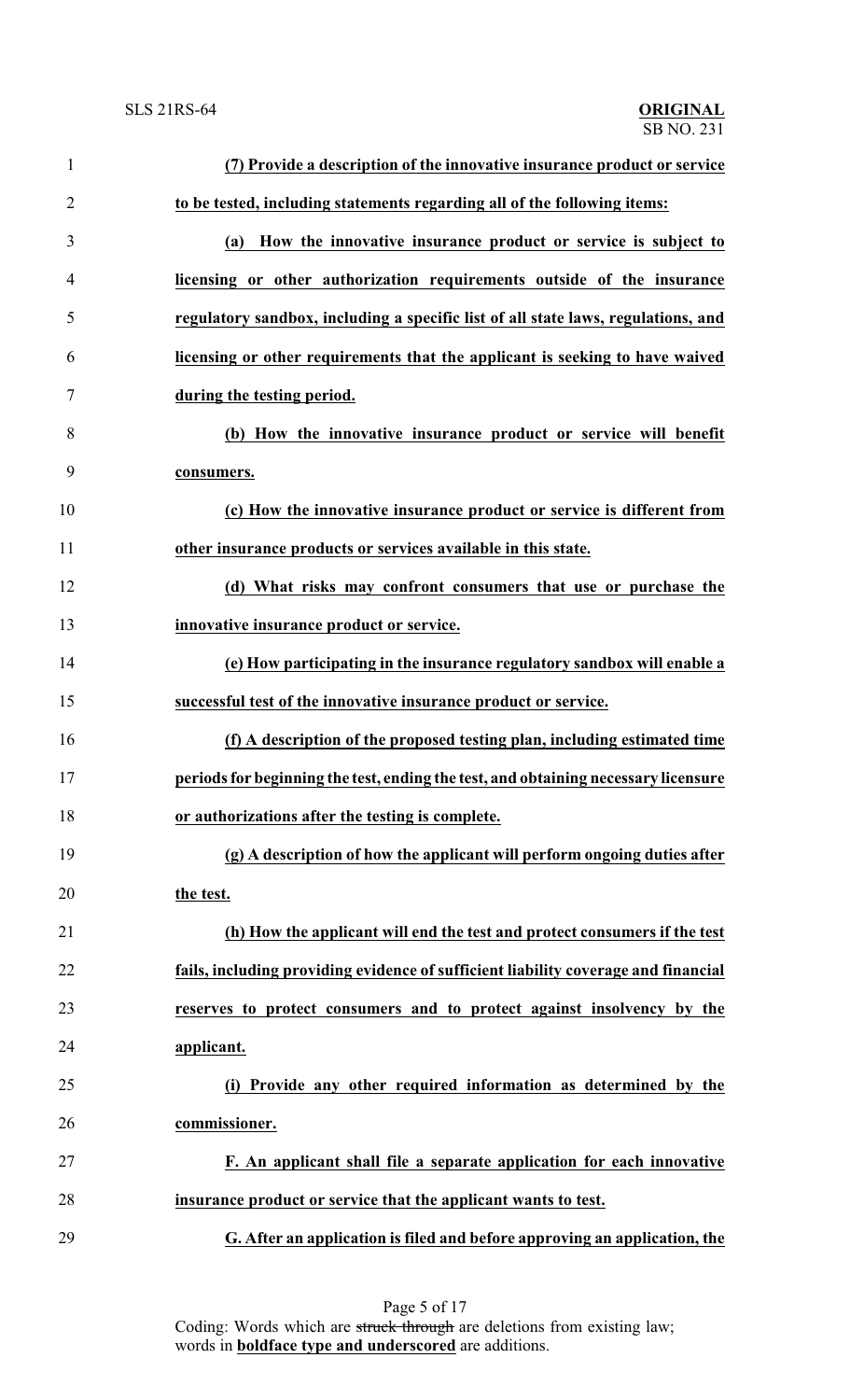| 1              | (7) Provide a description of the innovative insurance product or service           |
|----------------|------------------------------------------------------------------------------------|
| $\overline{2}$ | to be tested, including statements regarding all of the following items:           |
| 3              | How the innovative insurance product or service is subject to<br>(a)               |
| 4              | licensing or other authorization requirements outside of the insurance             |
| 5              | regulatory sandbox, including a specific list of all state laws, regulations, and  |
| 6              | licensing or other requirements that the applicant is seeking to have waived       |
| 7              | during the testing period.                                                         |
| 8              | (b) How the innovative insurance product or service will benefit                   |
| 9              | consumers.                                                                         |
| 10             | (c) How the innovative insurance product or service is different from              |
| 11             | other insurance products or services available in this state.                      |
| 12             | (d) What risks may confront consumers that use or purchase the                     |
| 13             | innovative insurance product or service.                                           |
| 14             | (e) How participating in the insurance regulatory sandbox will enable a            |
| 15             | successful test of the innovative insurance product or service.                    |
| 16             | (f) A description of the proposed testing plan, including estimated time           |
| 17             | periods for beginning the test, ending the test, and obtaining necessary licensure |
| 18             | or authorizations after the testing is complete.                                   |
| 19             | (g) A description of how the applicant will perform ongoing duties after           |
| 20             | the test.                                                                          |
| 21             | (h) How the applicant will end the test and protect consumers if the test          |
| 22             | fails, including providing evidence of sufficient liability coverage and financial |
| 23             | reserves to protect consumers and to protect against insolvency by the             |
| 24             | applicant.                                                                         |
| 25             | (i) Provide any other required information as determined by the                    |
| 26             | commissioner.                                                                      |
| 27             | F. An applicant shall file a separate application for each innovative              |
| 28             | insurance product or service that the applicant wants to test.                     |
| 29             | G. After an application is filed and before approving an application, the          |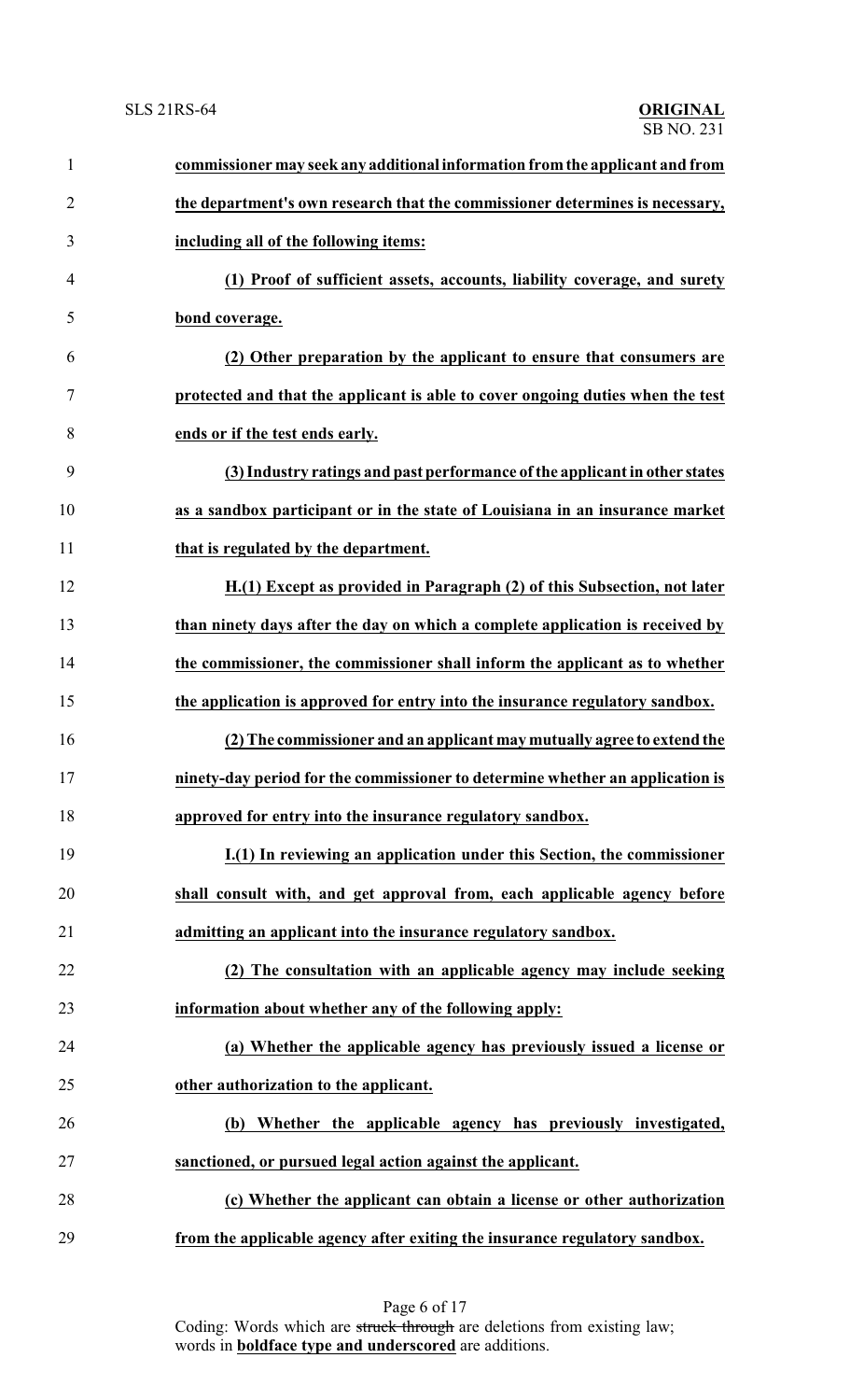| $\mathbf{1}$   | commissioner may seek any additional information from the applicant and from   |
|----------------|--------------------------------------------------------------------------------|
| $\overline{2}$ | the department's own research that the commissioner determines is necessary,   |
| 3              | including all of the following items:                                          |
| 4              | (1) Proof of sufficient assets, accounts, liability coverage, and surety       |
| 5              | bond coverage.                                                                 |
| 6              | (2) Other preparation by the applicant to ensure that consumers are            |
| 7              | protected and that the applicant is able to cover ongoing duties when the test |
| 8              | ends or if the test ends early.                                                |
| 9              | (3) Industry ratings and past performance of the applicant in other states     |
| 10             | as a sandbox participant or in the state of Louisiana in an insurance market   |
| 11             | that is regulated by the department.                                           |
| 12             | H.(1) Except as provided in Paragraph (2) of this Subsection, not later        |
| 13             | than ninety days after the day on which a complete application is received by  |
| 14             | the commissioner, the commissioner shall inform the applicant as to whether    |
| 15             | the application is approved for entry into the insurance regulatory sandbox.   |
| 16             | (2) The commissioner and an applicant may mutually agree to extend the         |
| 17             | ninety-day period for the commissioner to determine whether an application is  |
| 18             | approved for entry into the insurance regulatory sandbox.                      |
| 19             | I.(1) In reviewing an application under this Section, the commissioner         |
| 20             | shall consult with, and get approval from, each applicable agency before       |
| 21             | admitting an applicant into the insurance regulatory sandbox.                  |
| 22             | (2) The consultation with an applicable agency may include seeking             |
| 23             | information about whether any of the following apply:                          |
| 24             | (a) Whether the applicable agency has previously issued a license or           |
| 25             | other authorization to the applicant.                                          |
| 26             | (b) Whether the applicable agency has previously investigated,                 |
| 27             | sanctioned, or pursued legal action against the applicant.                     |
| 28             | (c) Whether the applicant can obtain a license or other authorization          |
| 29             | from the applicable agency after exiting the insurance regulatory sandbox.     |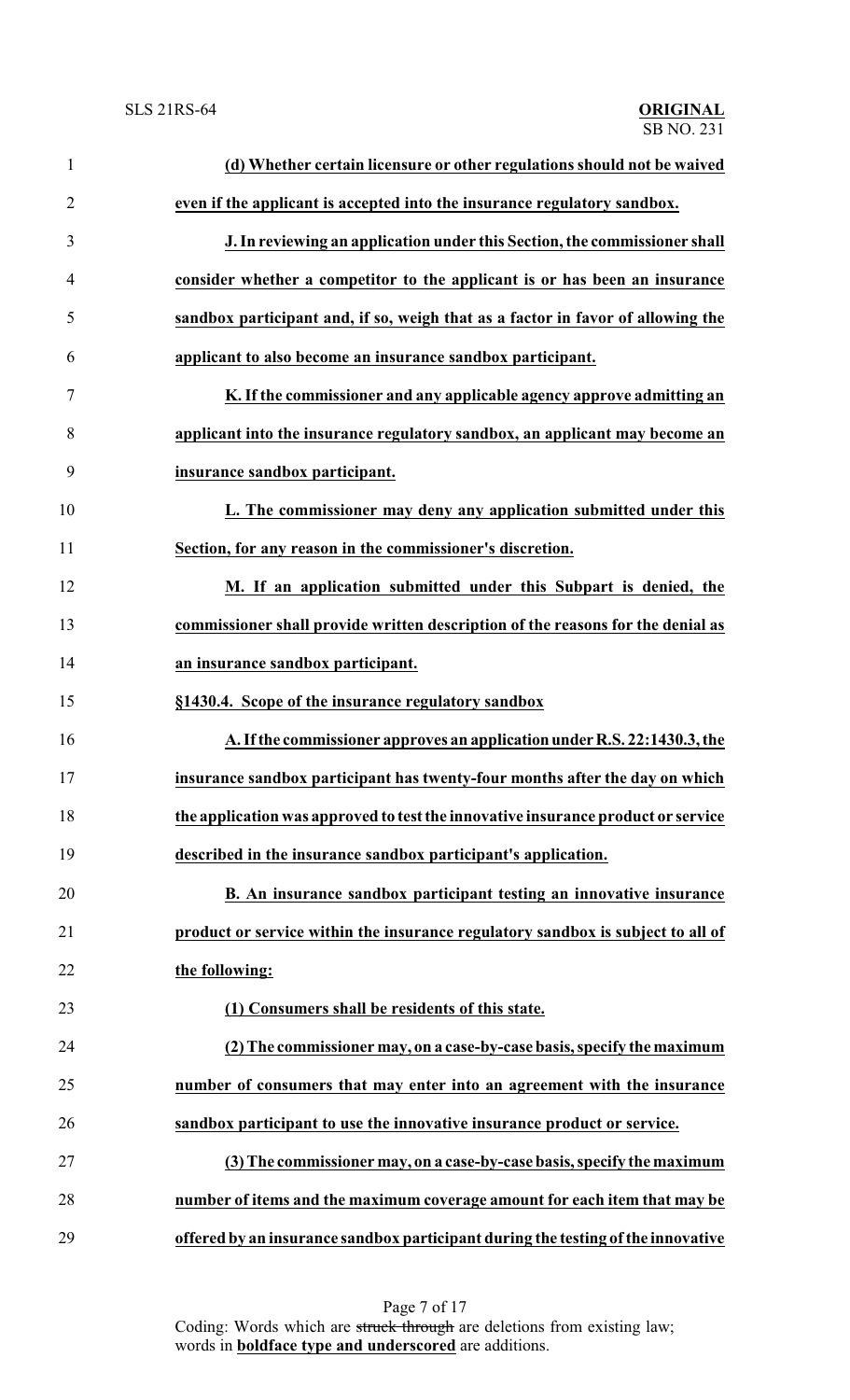| $\mathbf{1}$   | (d) Whether certain licensure or other regulations should not be waived          |
|----------------|----------------------------------------------------------------------------------|
| $\overline{2}$ | even if the applicant is accepted into the insurance regulatory sandbox.         |
| 3              | J. In reviewing an application under this Section, the commissioner shall        |
| $\overline{4}$ | consider whether a competitor to the applicant is or has been an insurance       |
| 5              | sandbox participant and, if so, weigh that as a factor in favor of allowing the  |
| 6              | applicant to also become an insurance sandbox participant.                       |
| 7              | K. If the commissioner and any applicable agency approve admitting an            |
| 8              | applicant into the insurance regulatory sandbox, an applicant may become an      |
| 9              | insurance sandbox participant.                                                   |
| 10             | L. The commissioner may deny any application submitted under this                |
| 11             | Section, for any reason in the commissioner's discretion.                        |
| 12             | M. If an application submitted under this Subpart is denied, the                 |
| 13             | commissioner shall provide written description of the reasons for the denial as  |
| 14             | an insurance sandbox participant.                                                |
| 15             | §1430.4. Scope of the insurance regulatory sandbox                               |
| 16             | A. If the commissioner approves an application under R.S. 22:1430.3, the         |
| 17             | insurance sandbox participant has twenty-four months after the day on which      |
| 18             | the application was approved to test the innovative insurance product or service |
| 19             | described in the insurance sandbox participant's application.                    |
| 20             | B. An insurance sandbox participant testing an innovative insurance              |
| 21             | product or service within the insurance regulatory sandbox is subject to all of  |
| 22             | the following:                                                                   |
| 23             | (1) Consumers shall be residents of this state.                                  |
| 24             | (2) The commissioner may, on a case-by-case basis, specify the maximum           |
| 25             | number of consumers that may enter into an agreement with the insurance          |
| 26             | sandbox participant to use the innovative insurance product or service.          |
| 27             | (3) The commissioner may, on a case-by-case basis, specify the maximum           |
| 28             | number of items and the maximum coverage amount for each item that may be        |
| 29             | offered by an insurance sandbox participant during the testing of the innovative |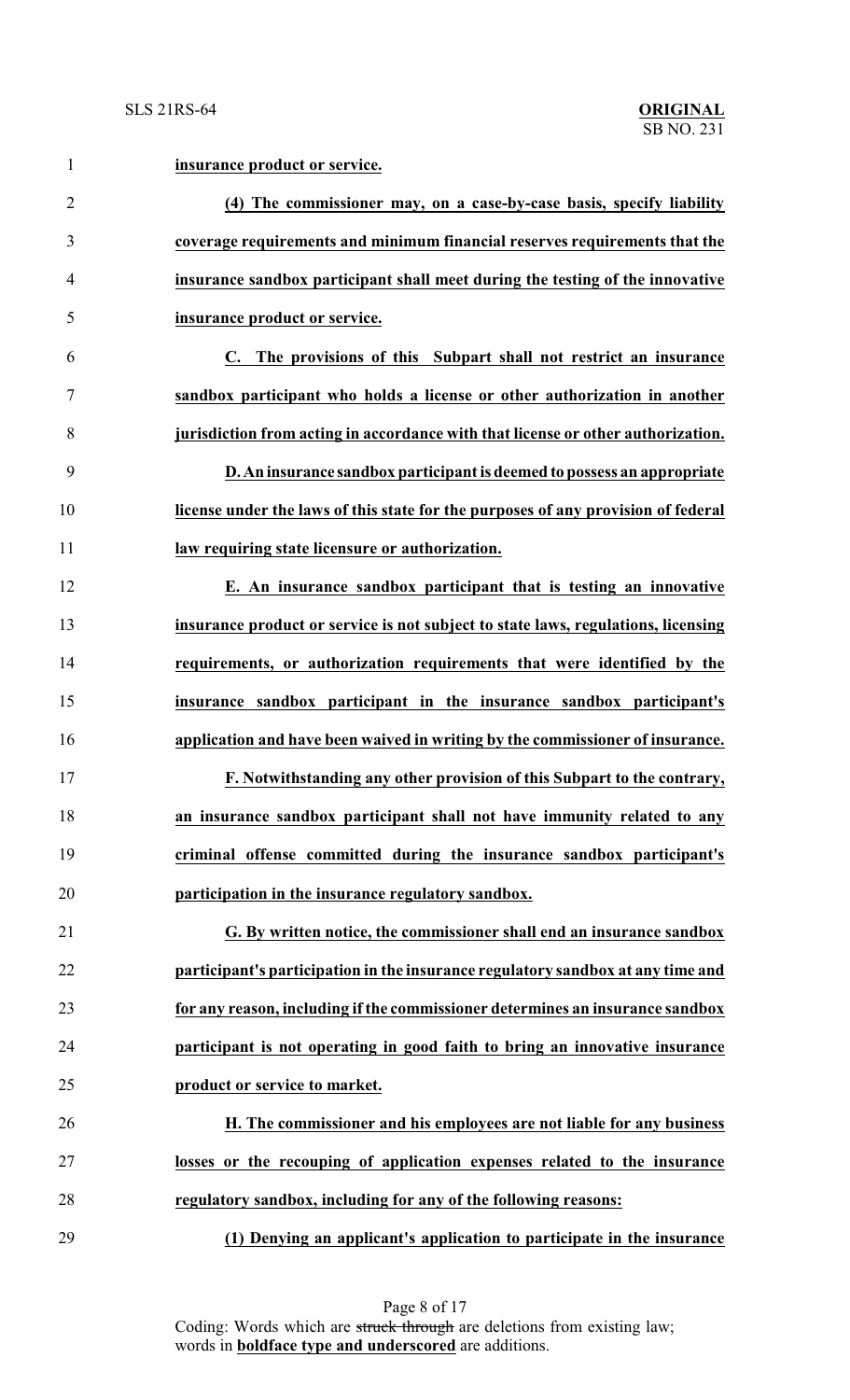| $\mathbf{1}$   | insurance product or service.                                                     |
|----------------|-----------------------------------------------------------------------------------|
| $\overline{2}$ | (4) The commissioner may, on a case-by-case basis, specify liability              |
| 3              | coverage requirements and minimum financial reserves requirements that the        |
| $\overline{4}$ | insurance sandbox participant shall meet during the testing of the innovative     |
| 5              | insurance product or service.                                                     |
| 6              | C. The provisions of this Subpart shall not restrict an insurance                 |
| $\tau$         | sandbox participant who holds a license or other authorization in another         |
| 8              | jurisdiction from acting in accordance with that license or other authorization.  |
| 9              | D. An insurance sandbox participant is deemed to possess an appropriate           |
| 10             | license under the laws of this state for the purposes of any provision of federal |
| 11             | law requiring state licensure or authorization.                                   |
| 12             | E. An insurance sandbox participant that is testing an innovative                 |
| 13             | insurance product or service is not subject to state laws, regulations, licensing |
| 14             | requirements, or authorization requirements that were identified by the           |
| 15             | insurance sandbox participant in the insurance sandbox participant's              |
| 16             | application and have been waived in writing by the commissioner of insurance.     |
| 17             | F. Notwithstanding any other provision of this Subpart to the contrary,           |
| 18             | an insurance sandbox participant shall not have immunity related to any           |
| 19             | criminal offense committed during the insurance sandbox participant's             |
| 20             | participation in the insurance regulatory sandbox.                                |
| 21             | G. By written notice, the commissioner shall end an insurance sandbox             |
| 22             | participant's participation in the insurance regulatory sandbox at any time and   |
| 23             | for any reason, including if the commissioner determines an insurance sandbox     |
| 24             | participant is not operating in good faith to bring an innovative insurance       |
| 25             | product or service to market.                                                     |
| 26             | H. The commissioner and his employees are not liable for any business             |
| 27             | losses or the recouping of application expenses related to the insurance          |
| 28             | regulatory sandbox, including for any of the following reasons:                   |
| 29             | (1) Denying an applicant's application to participate in the insurance            |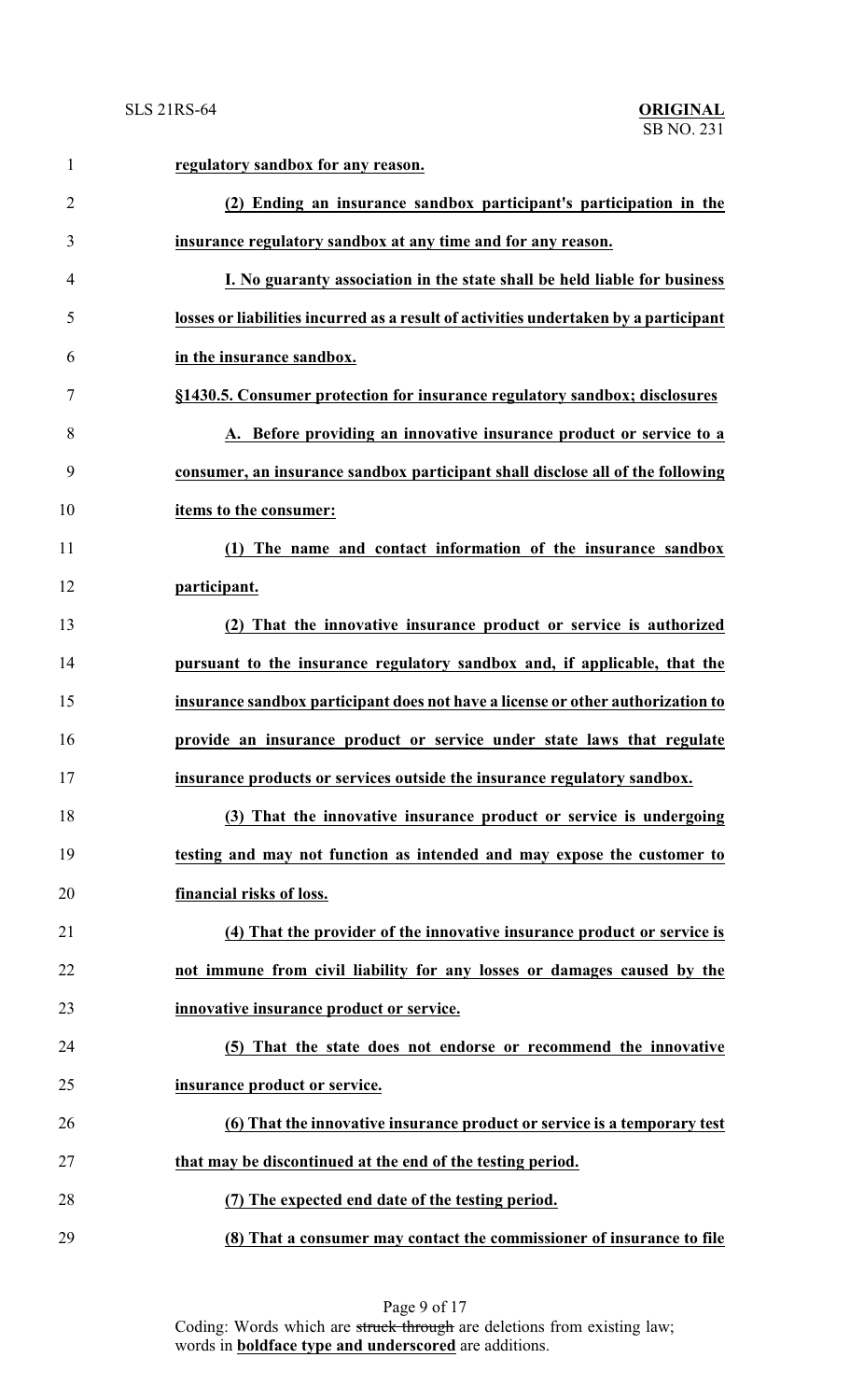| $\mathbf{1}$   | regulatory sandbox for any reason.                                                   |
|----------------|--------------------------------------------------------------------------------------|
| $\overline{2}$ | (2) Ending an insurance sandbox participant's participation in the                   |
| 3              | insurance regulatory sandbox at any time and for any reason.                         |
| 4              | I. No guaranty association in the state shall be held liable for business            |
| 5              | losses or liabilities incurred as a result of activities undertaken by a participant |
| 6              | in the insurance sandbox.                                                            |
| 7              | §1430.5. Consumer protection for insurance regulatory sandbox; disclosures           |
| 8              | A. Before providing an innovative insurance product or service to a                  |
| 9              | consumer, an insurance sandbox participant shall disclose all of the following       |
| 10             | items to the consumer:                                                               |
| 11             | (1) The name and contact information of the insurance sandbox                        |
| 12             | participant.                                                                         |
| 13             | (2) That the innovative insurance product or service is authorized                   |
| 14             | pursuant to the insurance regulatory sandbox and, if applicable, that the            |
| 15             | insurance sandbox participant does not have a license or other authorization to      |
| 16             | provide an insurance product or service under state laws that regulate               |
| 17             | insurance products or services outside the insurance regulatory sandbox.             |
| 18             | (3) That the innovative insurance product or service is undergoing                   |
| 19             | testing and may not function as intended and may expose the customer to              |
| 20             | financial risks of loss.                                                             |
| 21             | (4) That the provider of the innovative insurance product or service is              |
| 22             | not immune from civil liability for any losses or damages caused by the              |
| 23             | innovative insurance product or service.                                             |
| 24             | (5) That the state does not endorse or recommend the innovative                      |
| 25             | insurance product or service.                                                        |
| 26             | (6) That the innovative insurance product or service is a temporary test             |
| 27             | that may be discontinued at the end of the testing period.                           |
| 28             | (7) The expected end date of the testing period.                                     |
| 29             | (8) That a consumer may contact the commissioner of insurance to file                |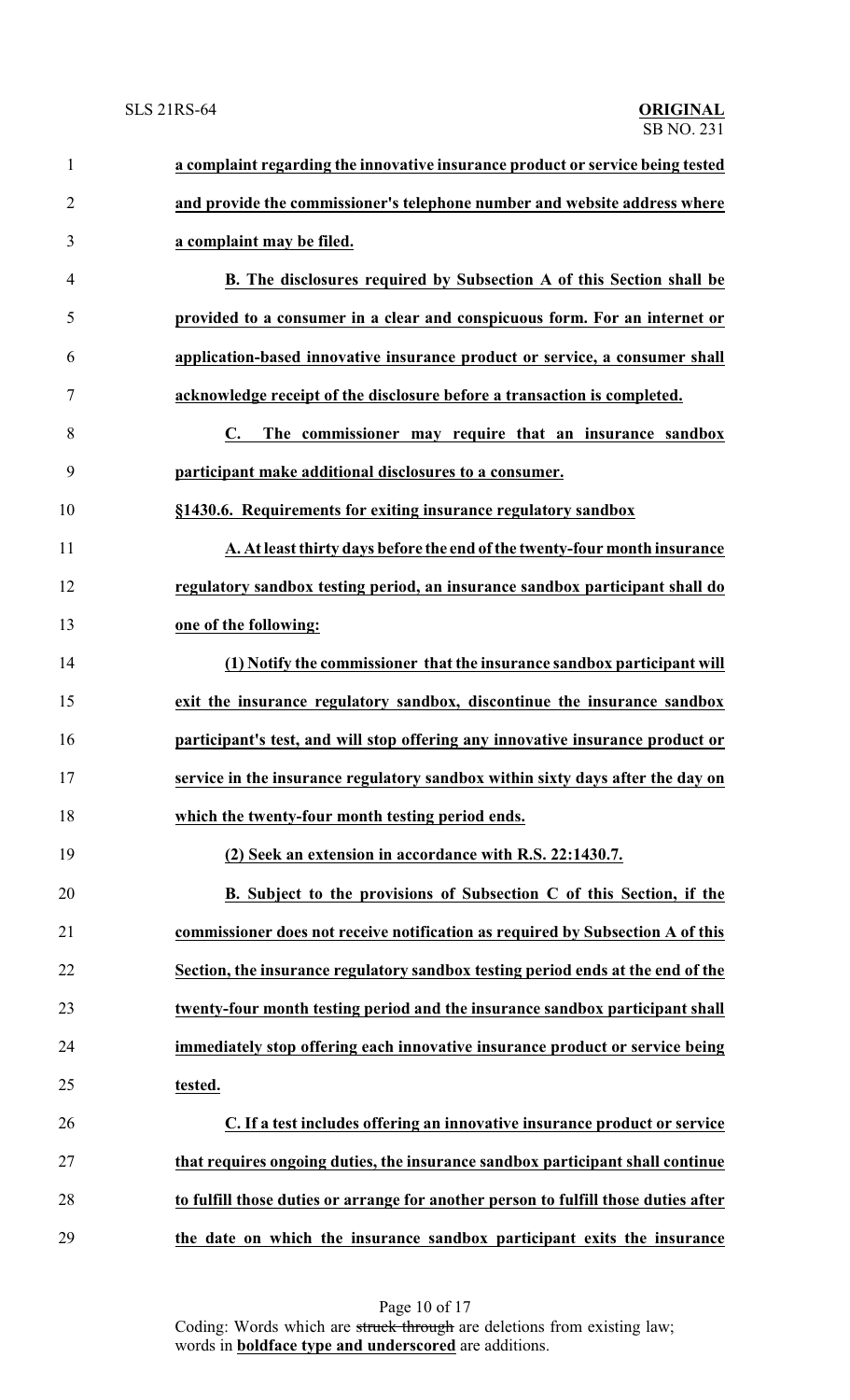| $\mathbf{1}$   | a complaint regarding the innovative insurance product or service being tested      |
|----------------|-------------------------------------------------------------------------------------|
| $\overline{2}$ | and provide the commissioner's telephone number and website address where           |
| 3              | a complaint may be filed.                                                           |
| $\overline{4}$ | B. The disclosures required by Subsection A of this Section shall be                |
| 5              | provided to a consumer in a clear and conspicuous form. For an internet or          |
| 6              | application-based innovative insurance product or service, a consumer shall         |
| 7              | acknowledge receipt of the disclosure before a transaction is completed.            |
| 8              | The commissioner may require that an insurance sandbox<br>C.                        |
| 9              | participant make additional disclosures to a consumer.                              |
| 10             | §1430.6. Requirements for exiting insurance regulatory sandbox                      |
| 11             | A. At least thirty days before the end of the twenty-four month insurance           |
| 12             | regulatory sandbox testing period, an insurance sandbox participant shall do        |
| 13             | one of the following:                                                               |
| 14             | (1) Notify the commissioner that the insurance sandbox participant will             |
| 15             | exit the insurance regulatory sandbox, discontinue the insurance sandbox            |
| 16             | participant's test, and will stop offering any innovative insurance product or      |
| 17             | service in the insurance regulatory sandbox within sixty days after the day on      |
| 18             | which the twenty-four month testing period ends.                                    |
| 19             | (2) Seek an extension in accordance with R.S. 22:1430.7.                            |
| 20             | B. Subject to the provisions of Subsection C of this Section, if the                |
| 21             | commissioner does not receive notification as required by Subsection A of this      |
| 22             | Section, the insurance regulatory sandbox testing period ends at the end of the     |
| 23             | twenty-four month testing period and the insurance sandbox participant shall        |
| 24             | immediately stop offering each innovative insurance product or service being        |
| 25             | tested.                                                                             |
| 26             | C. If a test includes offering an innovative insurance product or service           |
| 27             | that requires ongoing duties, the insurance sandbox participant shall continue      |
| 28             | to fulfill those duties or arrange for another person to fulfill those duties after |
| 29             | the date on which the insurance sandbox participant exits the insurance             |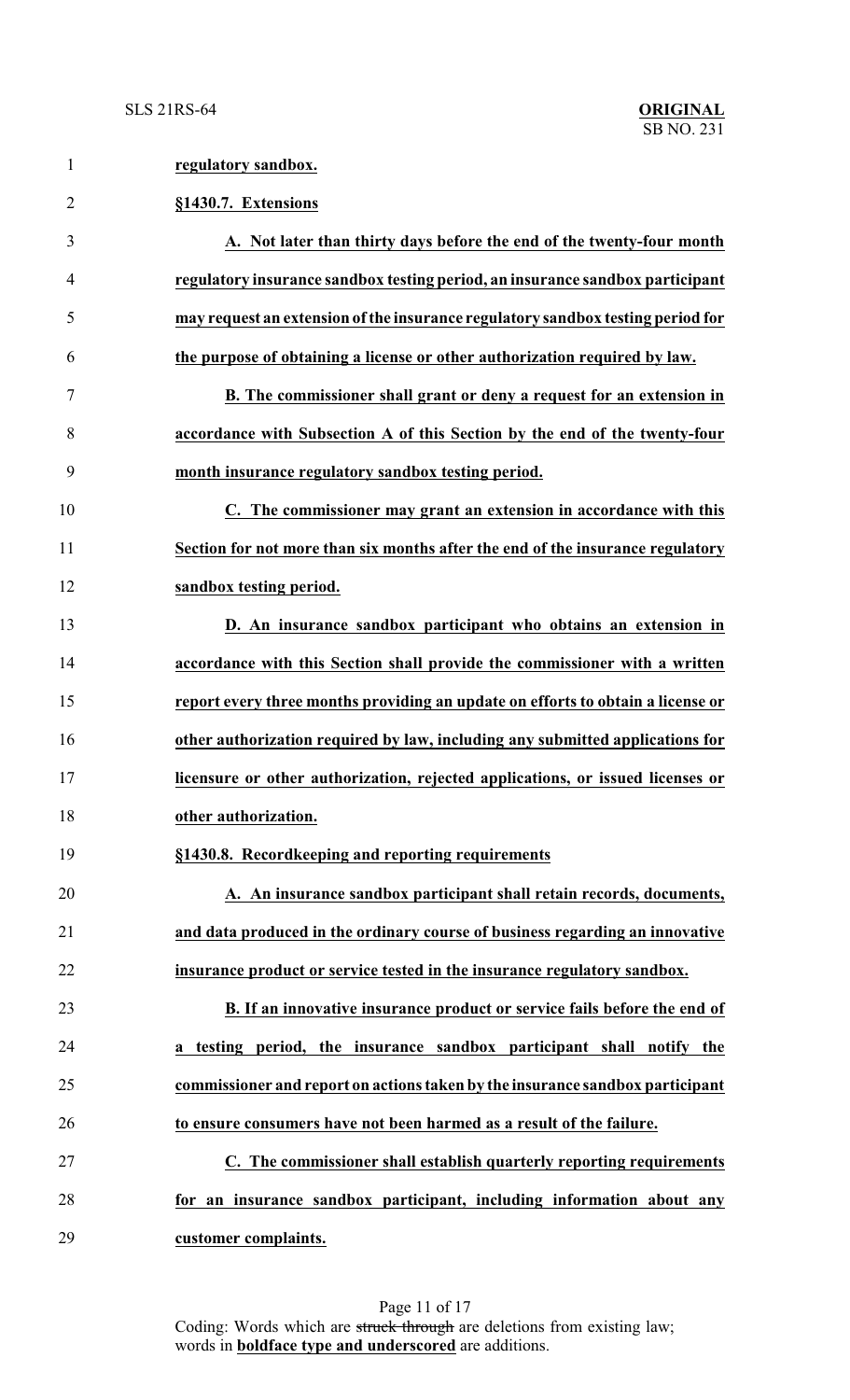**regulatory sandbox.**

|                | §1430.7. Extensions                                                             |
|----------------|---------------------------------------------------------------------------------|
|                | A. Not later than thirty days before the end of the twenty-four month           |
| $\overline{4}$ | regulatory insurance sandbox testing period, an insurance sandbox participant   |
|                | may request an extension of the insurance regulatory sandbox testing period for |
| 6              | the purpose of obtaining a license or other authorization required by law.      |
|                | B. The commissioner shall grant or deny a request for an extension in           |
| 8              | accordance with Subsection A of this Section by the end of the twenty-four      |

**month insurance regulatory sandbox testing period.**

 **C. The commissioner may grant an extension in accordance with this Section for not more than six months after the end of the insurance regulatory sandbox testing period.**

 **D. An insurance sandbox participant who obtains an extension in accordance with this Section shall provide the commissioner with a written report every three months providing an update on efforts to obtain a license or other authorization required by law, including any submitted applications for licensure or other authorization, rejected applications, or issued licenses or other authorization.**

**§1430.8. Recordkeeping and reporting requirements**

 **A. An insurance sandbox participant shall retain records, documents, and data produced in the ordinary course of business regarding an innovative insurance product or service tested in the insurance regulatory sandbox.**

 **B. If an innovative insurance product or service fails before the end of a testing period, the insurance sandbox participant shall notify the commissioner and report on actions taken by the insurance sandbox participant to ensure consumers have not been harmed as a result of the failure.**

 **C. The commissioner shall establish quarterly reporting requirements for an insurance sandbox participant, including information about any customer complaints.**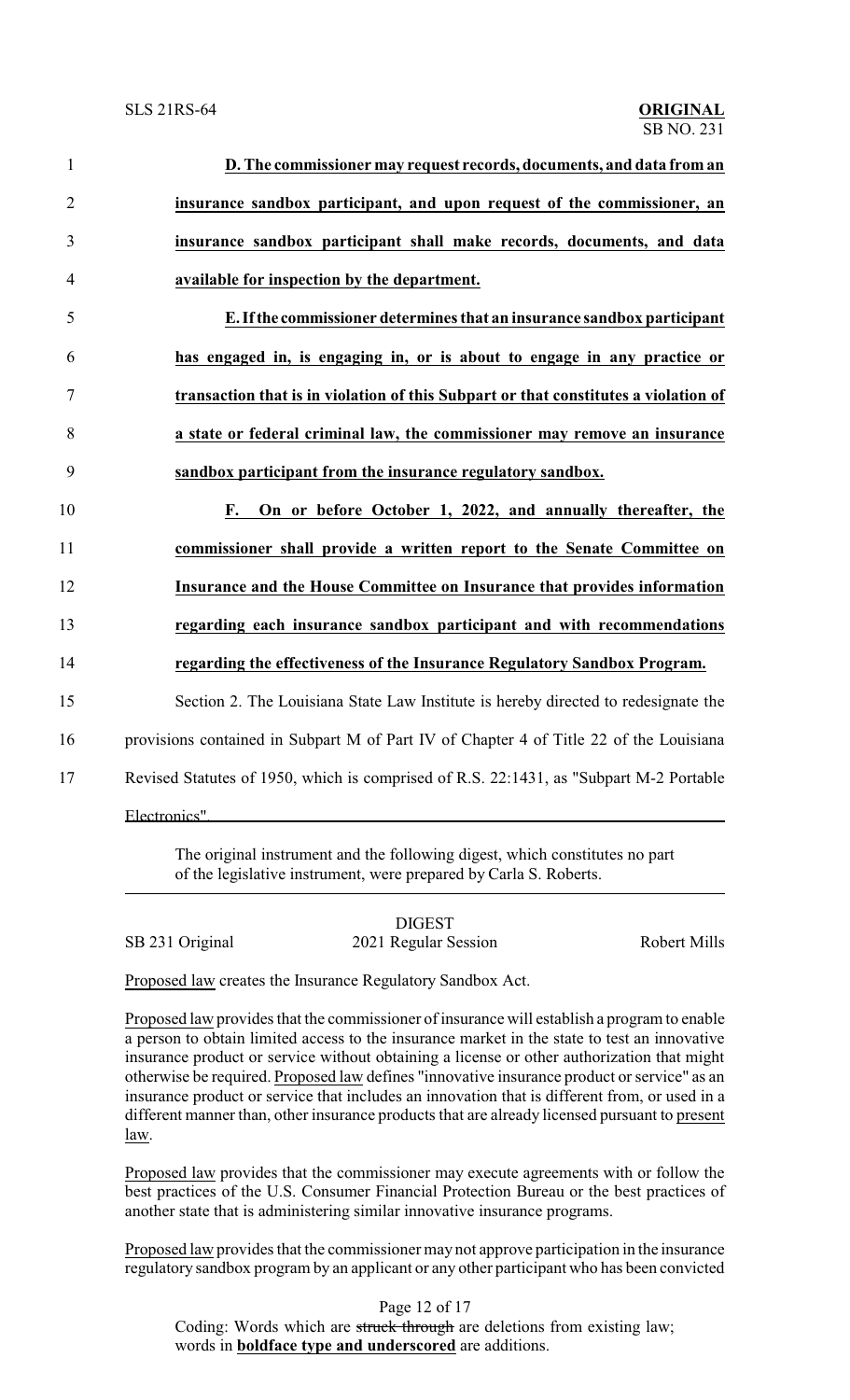| $\mathbf{1}$   | D. The commissioner may request records, documents, and data from an                                                                                                                                                                          |
|----------------|-----------------------------------------------------------------------------------------------------------------------------------------------------------------------------------------------------------------------------------------------|
| $\overline{2}$ | insurance sandbox participant, and upon request of the commissioner, an                                                                                                                                                                       |
| 3              | insurance sandbox participant shall make records, documents, and data                                                                                                                                                                         |
| $\overline{4}$ | available for inspection by the department.                                                                                                                                                                                                   |
| 5              | E. If the commissioner determines that an insurance sandbox participant                                                                                                                                                                       |
| 6              | has engaged in, is engaging in, or is about to engage in any practice or                                                                                                                                                                      |
| $\tau$         | transaction that is in violation of this Subpart or that constitutes a violation of                                                                                                                                                           |
| 8              | a state or federal criminal law, the commissioner may remove an insurance                                                                                                                                                                     |
| 9              | sandbox participant from the insurance regulatory sandbox.                                                                                                                                                                                    |
| 10             | On or before October 1, 2022, and annually thereafter, the<br><b>F.</b>                                                                                                                                                                       |
| 11             | commissioner shall provide a written report to the Senate Committee on                                                                                                                                                                        |
| 12             | Insurance and the House Committee on Insurance that provides information                                                                                                                                                                      |
| 13             | regarding each insurance sandbox participant and with recommendations                                                                                                                                                                         |
| 14             | regarding the effectiveness of the Insurance Regulatory Sandbox Program.                                                                                                                                                                      |
| 15             | Section 2. The Louisiana State Law Institute is hereby directed to redesignate the                                                                                                                                                            |
| 16             | provisions contained in Subpart M of Part IV of Chapter 4 of Title 22 of the Louisiana                                                                                                                                                        |
| 17             | Revised Statutes of 1950, which is comprised of R.S. 22:1431, as "Subpart M-2 Portable                                                                                                                                                        |
|                | Electronics"<br><u> 1980 - John Stein, mars and de Britain Born Stein, mars and de Britain Born Stein Born Stein Born Stein Born</u>                                                                                                          |
|                | $\mathbf{r}$ and the state of the state $\mathbf{r}$ and $\mathbf{r}$ and $\mathbf{r}$ are the state of the state of the state of the state of the state of the state of the state of the state of the state of the state of the state of the |

The original instrument and the following digest, which constitutes no part of the legislative instrument, were prepared by Carla S. Roberts.

DIGEST SB 231 Original 2021 Regular Session Robert Mills

Proposed law creates the Insurance Regulatory Sandbox Act.

Proposed law provides that the commissioner of insurance will establish a program to enable a person to obtain limited access to the insurance market in the state to test an innovative insurance product or service without obtaining a license or other authorization that might otherwise be required. Proposed law defines "innovative insurance product or service" as an insurance product or service that includes an innovation that is different from, or used in a different manner than, other insurance products that are already licensed pursuant to present law.

Proposed law provides that the commissioner may execute agreements with or follow the best practices of the U.S. Consumer Financial Protection Bureau or the best practices of another state that is administering similar innovative insurance programs.

Proposed law provides that the commissioner may not approve participation in the insurance regulatory sandbox program by an applicant or any other participant who has been convicted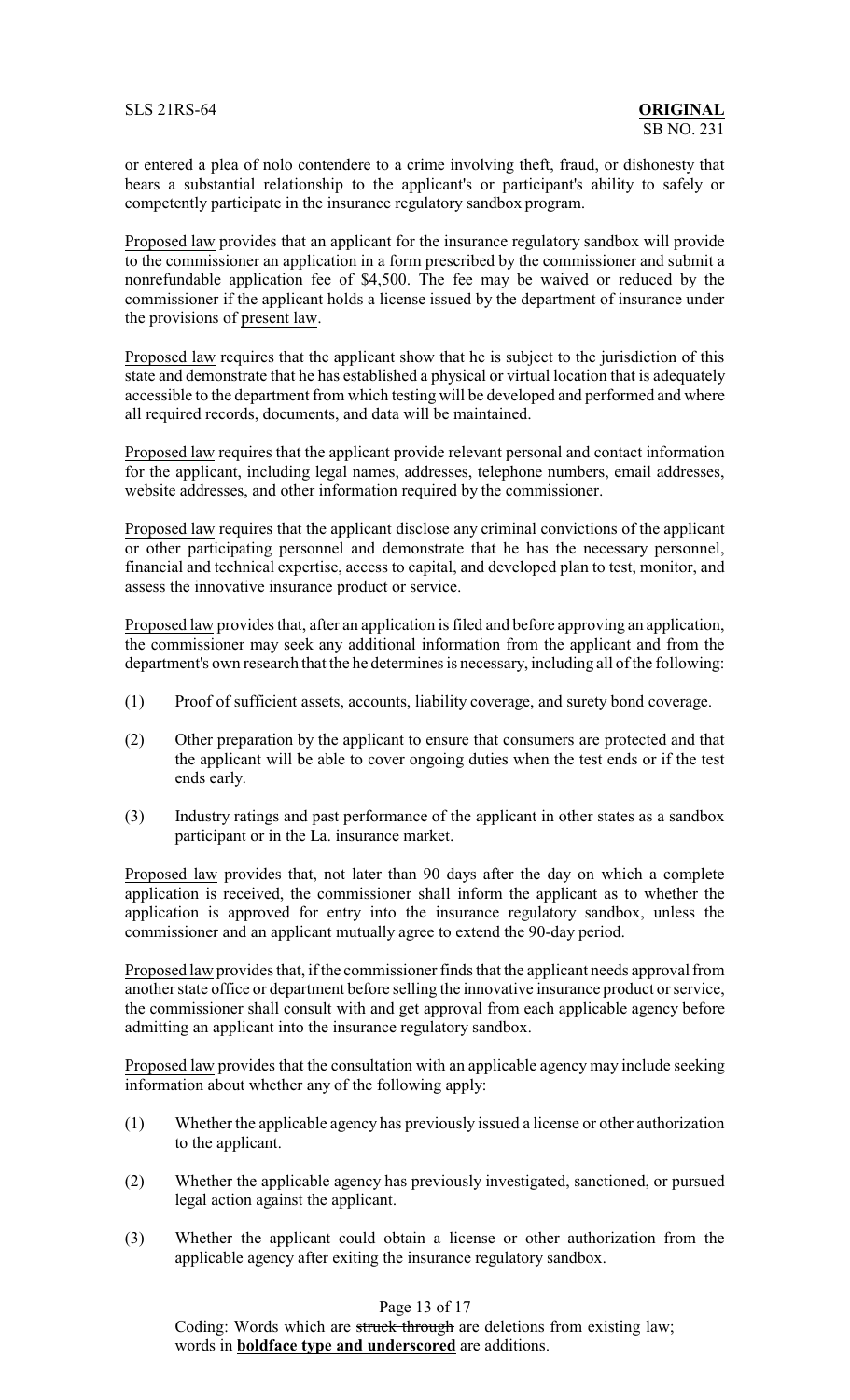or entered a plea of nolo contendere to a crime involving theft, fraud, or dishonesty that bears a substantial relationship to the applicant's or participant's ability to safely or competently participate in the insurance regulatory sandbox program.

Proposed law provides that an applicant for the insurance regulatory sandbox will provide to the commissioner an application in a form prescribed by the commissioner and submit a nonrefundable application fee of \$4,500. The fee may be waived or reduced by the commissioner if the applicant holds a license issued by the department of insurance under the provisions of present law.

Proposed law requires that the applicant show that he is subject to the jurisdiction of this state and demonstrate that he has established a physical or virtual location that is adequately accessible to the department from which testing will be developed and performed and where all required records, documents, and data will be maintained.

Proposed law requires that the applicant provide relevant personal and contact information for the applicant, including legal names, addresses, telephone numbers, email addresses, website addresses, and other information required by the commissioner.

Proposed law requires that the applicant disclose any criminal convictions of the applicant or other participating personnel and demonstrate that he has the necessary personnel, financial and technical expertise, access to capital, and developed plan to test, monitor, and assess the innovative insurance product or service.

Proposed law provides that, after an application is filed and before approving an application, the commissioner may seek any additional information from the applicant and from the department's own research that the he determines is necessary, including all of the following:

- (1) Proof of sufficient assets, accounts, liability coverage, and surety bond coverage.
- (2) Other preparation by the applicant to ensure that consumers are protected and that the applicant will be able to cover ongoing duties when the test ends or if the test ends early.
- (3) Industry ratings and past performance of the applicant in other states as a sandbox participant or in the La. insurance market.

Proposed law provides that, not later than 90 days after the day on which a complete application is received, the commissioner shall inform the applicant as to whether the application is approved for entry into the insurance regulatory sandbox, unless the commissioner and an applicant mutually agree to extend the 90-day period.

Proposed law provides that, if the commissioner finds that the applicant needs approval from another state office or department before selling the innovative insurance product or service, the commissioner shall consult with and get approval from each applicable agency before admitting an applicant into the insurance regulatory sandbox.

Proposed law provides that the consultation with an applicable agency may include seeking information about whether any of the following apply:

- (1) Whether the applicable agency has previously issued a license or other authorization to the applicant.
- (2) Whether the applicable agency has previously investigated, sanctioned, or pursued legal action against the applicant.
- (3) Whether the applicant could obtain a license or other authorization from the applicable agency after exiting the insurance regulatory sandbox.

Page 13 of 17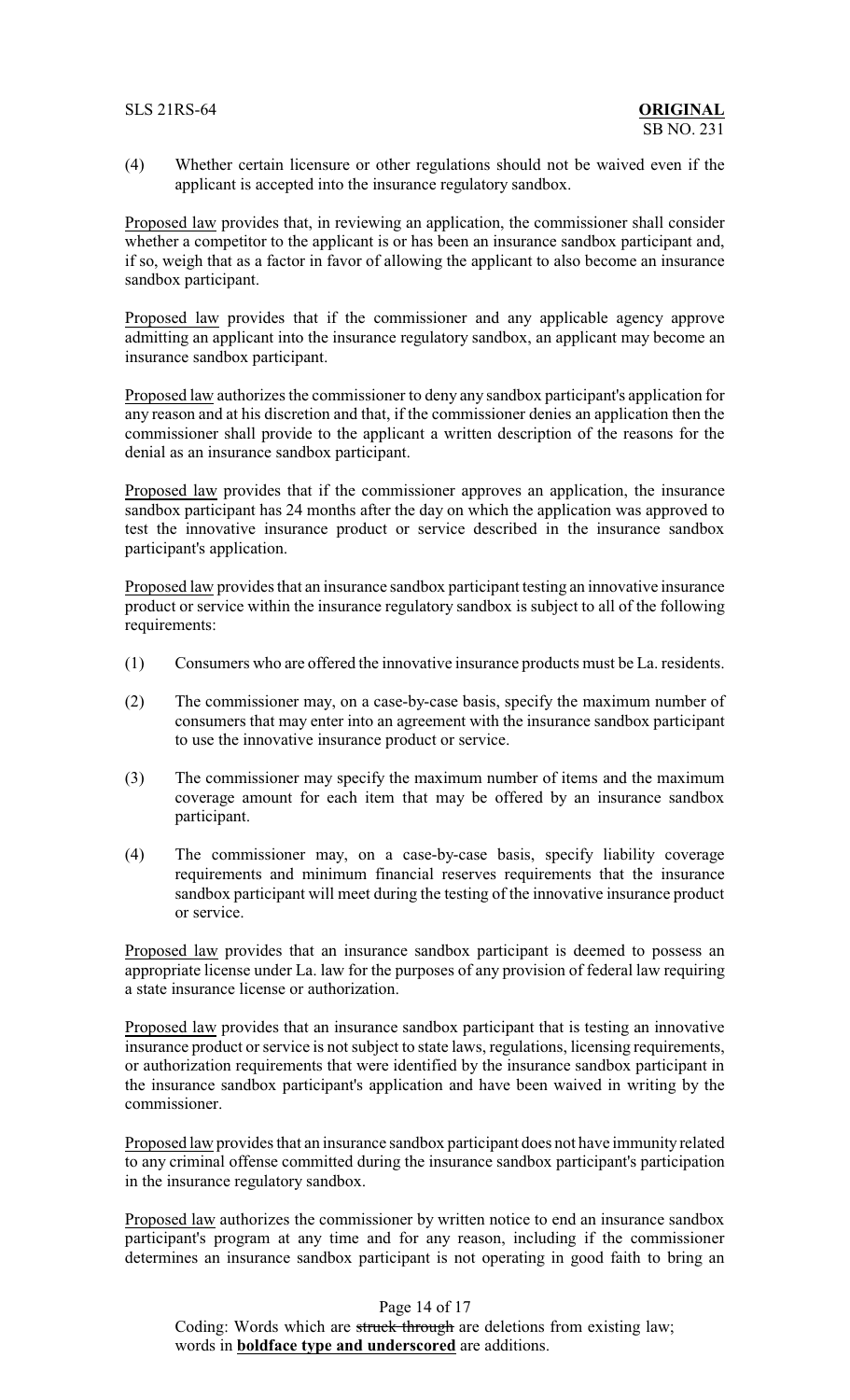## SLS 21RS-64 **ORIGINAL**

(4) Whether certain licensure or other regulations should not be waived even if the applicant is accepted into the insurance regulatory sandbox.

Proposed law provides that, in reviewing an application, the commissioner shall consider whether a competitor to the applicant is or has been an insurance sandbox participant and, if so, weigh that as a factor in favor of allowing the applicant to also become an insurance sandbox participant.

Proposed law provides that if the commissioner and any applicable agency approve admitting an applicant into the insurance regulatory sandbox, an applicant may become an insurance sandbox participant.

Proposed law authorizes the commissioner to deny any sandbox participant's application for any reason and at his discretion and that, if the commissioner denies an application then the commissioner shall provide to the applicant a written description of the reasons for the denial as an insurance sandbox participant.

Proposed law provides that if the commissioner approves an application, the insurance sandbox participant has 24 months after the day on which the application was approved to test the innovative insurance product or service described in the insurance sandbox participant's application.

Proposed law provides that an insurance sandbox participant testing an innovative insurance product or service within the insurance regulatory sandbox is subject to all of the following requirements:

- (1) Consumers who are offered the innovative insurance products must be La. residents.
- (2) The commissioner may, on a case-by-case basis, specify the maximum number of consumers that may enter into an agreement with the insurance sandbox participant to use the innovative insurance product or service.
- (3) The commissioner may specify the maximum number of items and the maximum coverage amount for each item that may be offered by an insurance sandbox participant.
- (4) The commissioner may, on a case-by-case basis, specify liability coverage requirements and minimum financial reserves requirements that the insurance sandbox participant will meet during the testing of the innovative insurance product or service.

Proposed law provides that an insurance sandbox participant is deemed to possess an appropriate license under La. law for the purposes of any provision of federal law requiring a state insurance license or authorization.

Proposed law provides that an insurance sandbox participant that is testing an innovative insurance product or service is not subject to state laws, regulations, licensing requirements, or authorization requirements that were identified by the insurance sandbox participant in the insurance sandbox participant's application and have been waived in writing by the commissioner.

Proposed law provides that an insurance sandbox participant does not have immunity related to any criminal offense committed during the insurance sandbox participant's participation in the insurance regulatory sandbox.

Proposed law authorizes the commissioner by written notice to end an insurance sandbox participant's program at any time and for any reason, including if the commissioner determines an insurance sandbox participant is not operating in good faith to bring an

## Page 14 of 17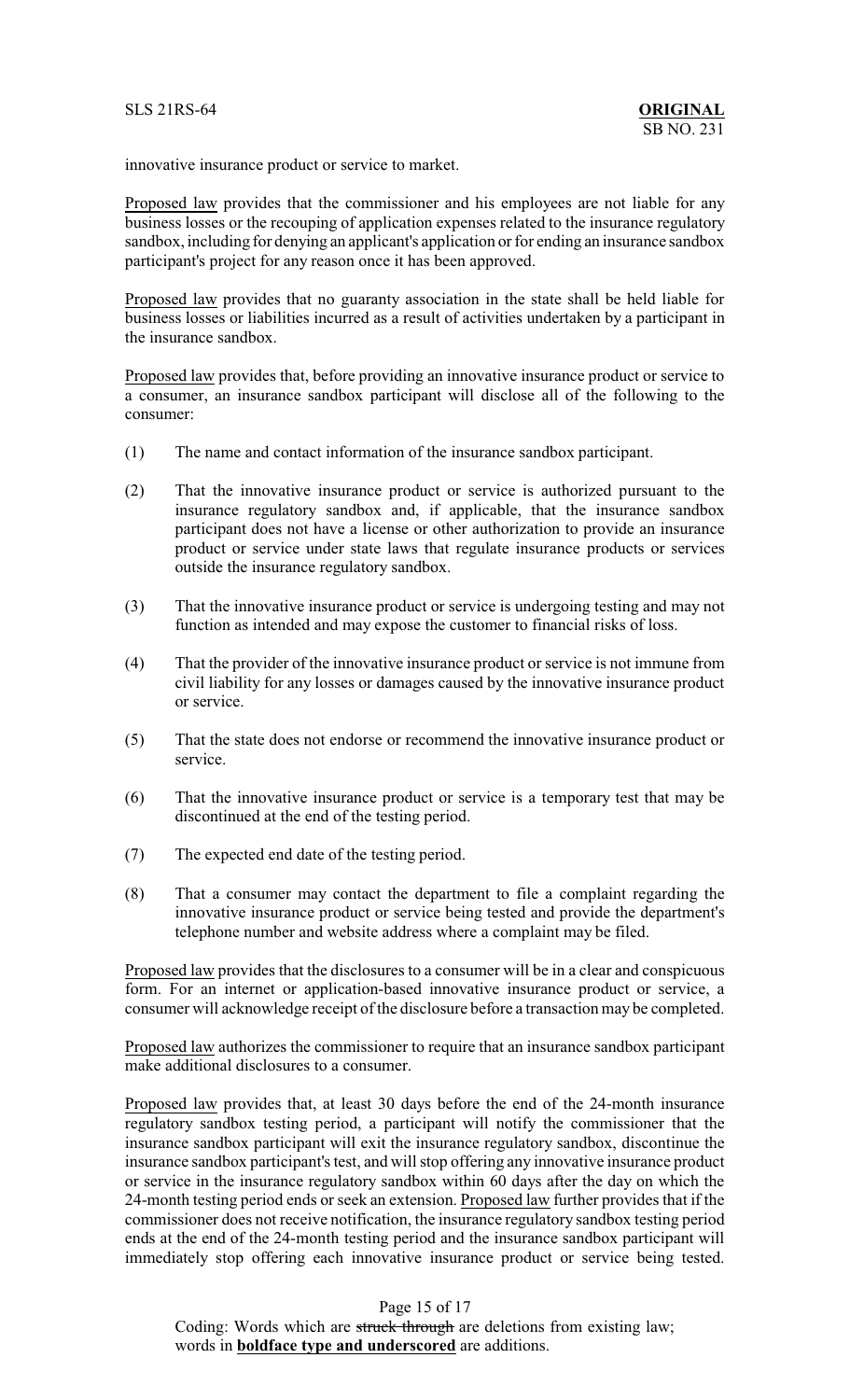innovative insurance product or service to market.

Proposed law provides that the commissioner and his employees are not liable for any business losses or the recouping of application expenses related to the insurance regulatory sandbox, including for denying an applicant's application or for ending an insurance sandbox participant's project for any reason once it has been approved.

Proposed law provides that no guaranty association in the state shall be held liable for business losses or liabilities incurred as a result of activities undertaken by a participant in the insurance sandbox.

Proposed law provides that, before providing an innovative insurance product or service to a consumer, an insurance sandbox participant will disclose all of the following to the consumer:

- (1) The name and contact information of the insurance sandbox participant.
- (2) That the innovative insurance product or service is authorized pursuant to the insurance regulatory sandbox and, if applicable, that the insurance sandbox participant does not have a license or other authorization to provide an insurance product or service under state laws that regulate insurance products or services outside the insurance regulatory sandbox.
- (3) That the innovative insurance product or service is undergoing testing and may not function as intended and may expose the customer to financial risks of loss.
- (4) That the provider of the innovative insurance product or service is not immune from civil liability for any losses or damages caused by the innovative insurance product or service.
- (5) That the state does not endorse or recommend the innovative insurance product or service.
- (6) That the innovative insurance product or service is a temporary test that may be discontinued at the end of the testing period.
- (7) The expected end date of the testing period.
- (8) That a consumer may contact the department to file a complaint regarding the innovative insurance product or service being tested and provide the department's telephone number and website address where a complaint may be filed.

Proposed law provides that the disclosures to a consumer will be in a clear and conspicuous form. For an internet or application-based innovative insurance product or service, a consumer will acknowledge receipt of the disclosure before a transaction may be completed.

Proposed law authorizes the commissioner to require that an insurance sandbox participant make additional disclosures to a consumer.

Proposed law provides that, at least 30 days before the end of the 24-month insurance regulatory sandbox testing period, a participant will notify the commissioner that the insurance sandbox participant will exit the insurance regulatory sandbox, discontinue the insurance sandbox participant's test, and will stop offering any innovative insurance product or service in the insurance regulatory sandbox within 60 days after the day on which the 24-month testing period ends or seek an extension. Proposed law further provides that if the commissioner does not receive notification, the insurance regulatory sandbox testing period ends at the end of the 24-month testing period and the insurance sandbox participant will immediately stop offering each innovative insurance product or service being tested.

## Page 15 of 17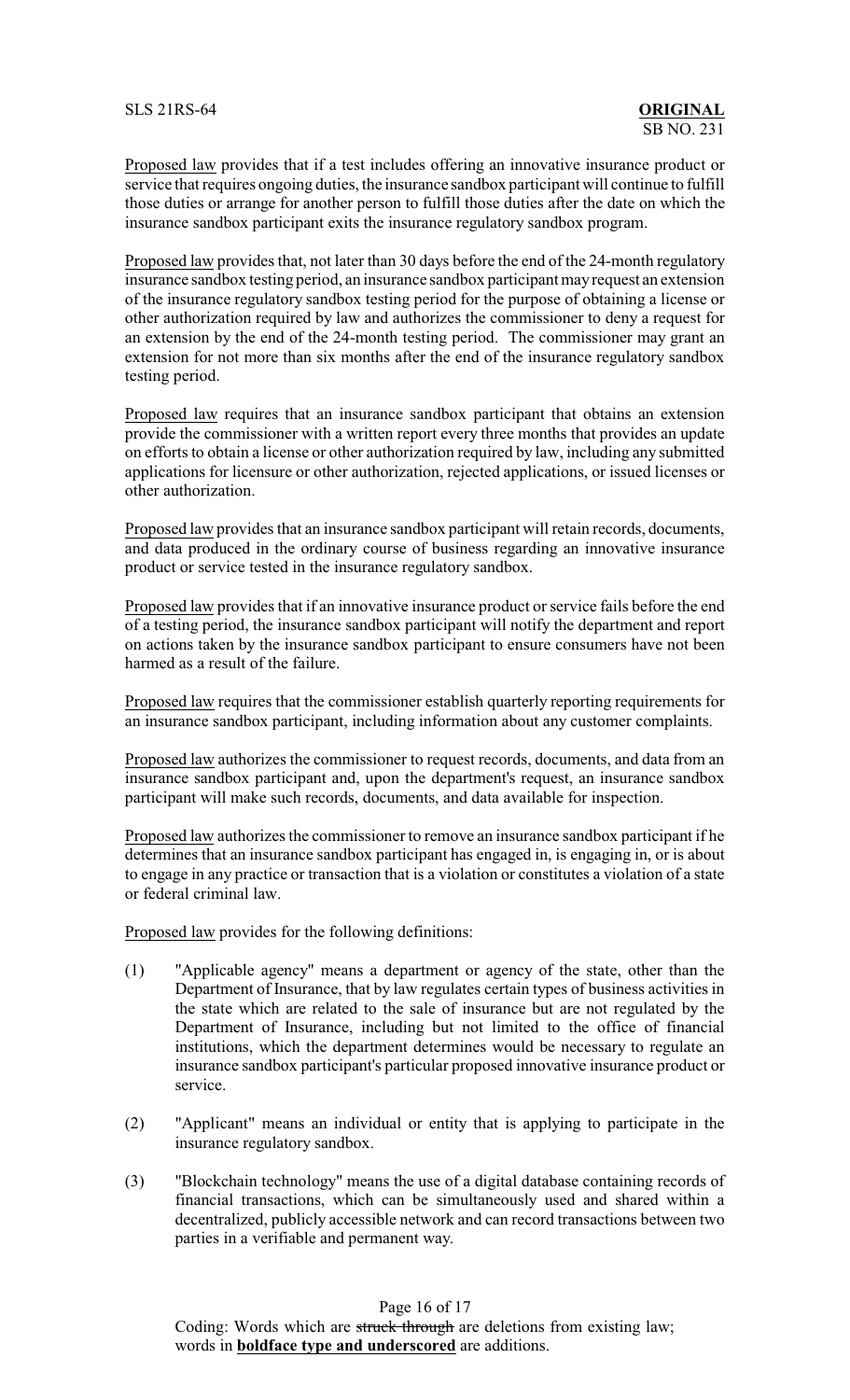Proposed law provides that if a test includes offering an innovative insurance product or service that requires ongoing duties, the insurance sandbox participant will continue to fulfill those duties or arrange for another person to fulfill those duties after the date on which the insurance sandbox participant exits the insurance regulatory sandbox program.

Proposed law provides that, not later than 30 days before the end of the 24-month regulatory insurance sandbox testing period, an insurance sandbox participant mayrequest an extension of the insurance regulatory sandbox testing period for the purpose of obtaining a license or other authorization required by law and authorizes the commissioner to deny a request for an extension by the end of the 24-month testing period. The commissioner may grant an extension for not more than six months after the end of the insurance regulatory sandbox testing period.

Proposed law requires that an insurance sandbox participant that obtains an extension provide the commissioner with a written report every three months that provides an update on efforts to obtain a license or other authorization required by law, including any submitted applications for licensure or other authorization, rejected applications, or issued licenses or other authorization.

Proposed law provides that an insurance sandbox participant will retain records, documents, and data produced in the ordinary course of business regarding an innovative insurance product or service tested in the insurance regulatory sandbox.

Proposed law provides that if an innovative insurance product or service fails before the end of a testing period, the insurance sandbox participant will notify the department and report on actions taken by the insurance sandbox participant to ensure consumers have not been harmed as a result of the failure.

Proposed law requires that the commissioner establish quarterly reporting requirements for an insurance sandbox participant, including information about any customer complaints.

Proposed law authorizes the commissioner to request records, documents, and data from an insurance sandbox participant and, upon the department's request, an insurance sandbox participant will make such records, documents, and data available for inspection.

Proposed law authorizes the commissioner to remove an insurance sandbox participant if he determines that an insurance sandbox participant has engaged in, is engaging in, or is about to engage in any practice or transaction that is a violation or constitutes a violation of a state or federal criminal law.

Proposed law provides for the following definitions:

- (1) "Applicable agency" means a department or agency of the state, other than the Department of Insurance, that by law regulates certain types of business activities in the state which are related to the sale of insurance but are not regulated by the Department of Insurance, including but not limited to the office of financial institutions, which the department determines would be necessary to regulate an insurance sandbox participant's particular proposed innovative insurance product or service.
- (2) "Applicant" means an individual or entity that is applying to participate in the insurance regulatory sandbox.
- (3) "Blockchain technology" means the use of a digital database containing records of financial transactions, which can be simultaneously used and shared within a decentralized, publicly accessible network and can record transactions between two parties in a verifiable and permanent way.

Page 16 of 17